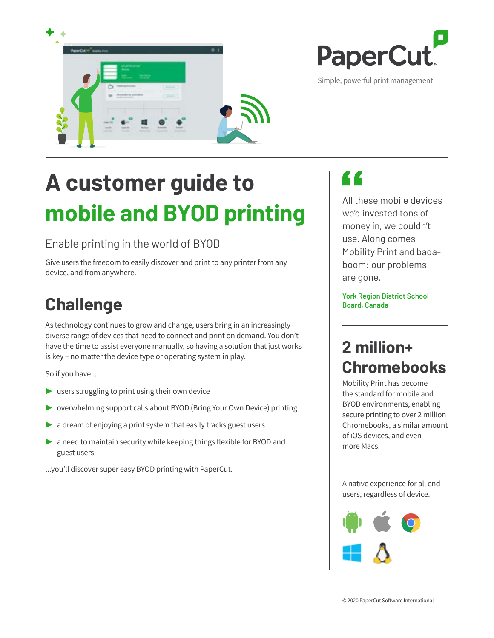



Simple, powerful print management

# **A customer guide to mobile and BYOD printing**

#### Enable printing in the world of BYOD

Give users the freedom to easily discover and print to any printer from any device, and from anywhere.

# **Challenge**

As technology continues to grow and change, users bring in an increasingly diverse range of devices that need to connect and print on demand. You don't have the time to assist everyone manually, so having a solution that just works is key – no matter the device type or operating system in play.

So if you have...

- **▶** users struggling to print using their own device
- **▶** overwhelming support calls about BYOD (Bring Your Own Device) printing
- a dream of enjoying a print system that easily tracks guest users
- ▶ a need to maintain security while keeping things flexible for BYOD and guest users

...you'll discover super easy BYOD printing with PaperCut.

# Z Z

All these mobile devices we'd invested tons of money in, we couldn't use. Along comes Mobility Print and badaboom: our problems are gone.

**York Region District School Board, Canada**

### **2 million+ Chromebooks**

Mobility Print has become the standard for mobile and BYOD environments, enabling secure printing to over 2 million Chromebooks, a similar amount of iOS devices, and even more Macs.

A native experience for all end users, regardless of device.